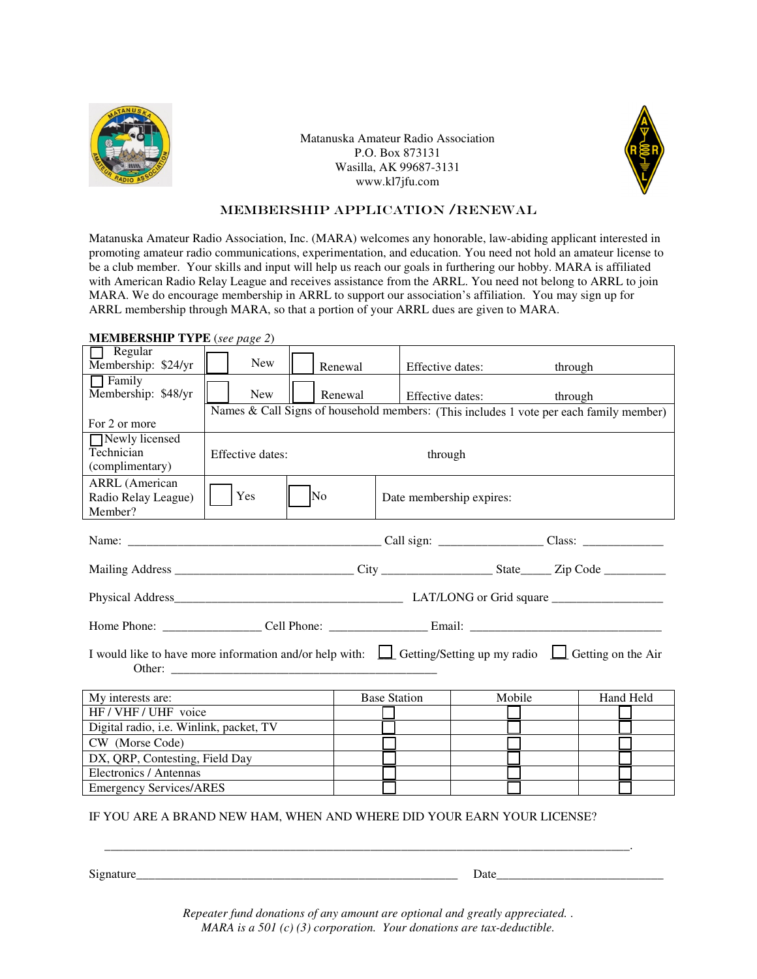

Matanuska Amateur Radio Association P.O. Box 873131 Wasilla, AK 99687-3131 www.kl7jfu.com



## Membership Application /RENEWAL

Matanuska Amateur Radio Association, Inc. (MARA) welcomes any honorable, law-abiding applicant interested in promoting amateur radio communications, experimentation, and education. You need not hold an amateur license to be a club member. Your skills and input will help us reach our goals in furthering our hobby. MARA is affiliated with American Radio Relay League and receives assistance from the ARRL. You need not belong to ARRL to join MARA. We do encourage membership in ARRL to support our association's affiliation. You may sign up for ARRL membership through MARA, so that a portion of your ARRL dues are given to MARA.

| <b>NEWIDERSHIP TIPE</b> (see page 2)                                                                                           |                                                                                        |         |                                                                                                                          |  |  |  |  |
|--------------------------------------------------------------------------------------------------------------------------------|----------------------------------------------------------------------------------------|---------|--------------------------------------------------------------------------------------------------------------------------|--|--|--|--|
| $\Box$ Regular<br>Membership: \$24/yr                                                                                          | New                                                                                    | Renewal |                                                                                                                          |  |  |  |  |
| $\Box$ Family<br>Membership: \$48/yr                                                                                           | New                                                                                    | Renewal |                                                                                                                          |  |  |  |  |
|                                                                                                                                | Names & Call Signs of household members: (This includes 1 vote per each family member) |         |                                                                                                                          |  |  |  |  |
| For 2 or more                                                                                                                  |                                                                                        |         |                                                                                                                          |  |  |  |  |
| Newly licensed<br>Technician<br>(complimentary)                                                                                | Effective dates:                                                                       |         | Effective dates:<br>through<br>Effective dates:<br>through<br>through<br>Date membership expires:<br>Mobile<br>Hand Held |  |  |  |  |
|                                                                                                                                |                                                                                        |         |                                                                                                                          |  |  |  |  |
| <b>ARRL</b> (American<br>Radio Relay League)                                                                                   | Yes                                                                                    | No      |                                                                                                                          |  |  |  |  |
| Member?                                                                                                                        |                                                                                        |         |                                                                                                                          |  |  |  |  |
|                                                                                                                                |                                                                                        |         |                                                                                                                          |  |  |  |  |
|                                                                                                                                |                                                                                        |         |                                                                                                                          |  |  |  |  |
|                                                                                                                                |                                                                                        |         |                                                                                                                          |  |  |  |  |
|                                                                                                                                |                                                                                        |         |                                                                                                                          |  |  |  |  |
| I would like to have more information and/or help with: $\Box$ Getting/Setting up my radio $\Box$ Getting on the Air<br>Other: |                                                                                        |         |                                                                                                                          |  |  |  |  |
| My interests are:                                                                                                              |                                                                                        |         | <b>Base Station</b>                                                                                                      |  |  |  |  |
| HF / VHF / UHF voice                                                                                                           |                                                                                        |         |                                                                                                                          |  |  |  |  |
| Digital radio, i.e. Winlink, packet, TV                                                                                        |                                                                                        |         |                                                                                                                          |  |  |  |  |
| CW (Morse Code)                                                                                                                |                                                                                        |         |                                                                                                                          |  |  |  |  |
| DX, QRP, Contesting, Field Day                                                                                                 |                                                                                        |         |                                                                                                                          |  |  |  |  |
| Electronics / Antennas                                                                                                         |                                                                                        |         |                                                                                                                          |  |  |  |  |
| <b>Emergency Services/ARES</b>                                                                                                 |                                                                                        |         |                                                                                                                          |  |  |  |  |
| IF YOU ARE A BRAND NEW HAM, WHEN AND WHERE DID YOUR EARN YOUR LICENSE?                                                         |                                                                                        |         |                                                                                                                          |  |  |  |  |

**MEMBERSHIP TYPE** (*see page 2*)

Signature\_\_\_\_\_\_\_\_\_\_\_\_\_\_\_\_\_\_\_\_\_\_\_\_\_\_\_\_\_\_\_\_\_\_\_\_\_\_\_\_\_\_\_\_\_\_\_\_\_\_\_\_ Date\_\_\_\_\_\_\_\_\_\_\_\_\_\_\_\_\_\_\_\_\_\_\_\_\_\_\_

*Repeater fund donations of any amount are optional and greatly appreciated.* . *MARA is a 501 (c) (3) corporation. Your donations are tax-deductible.*